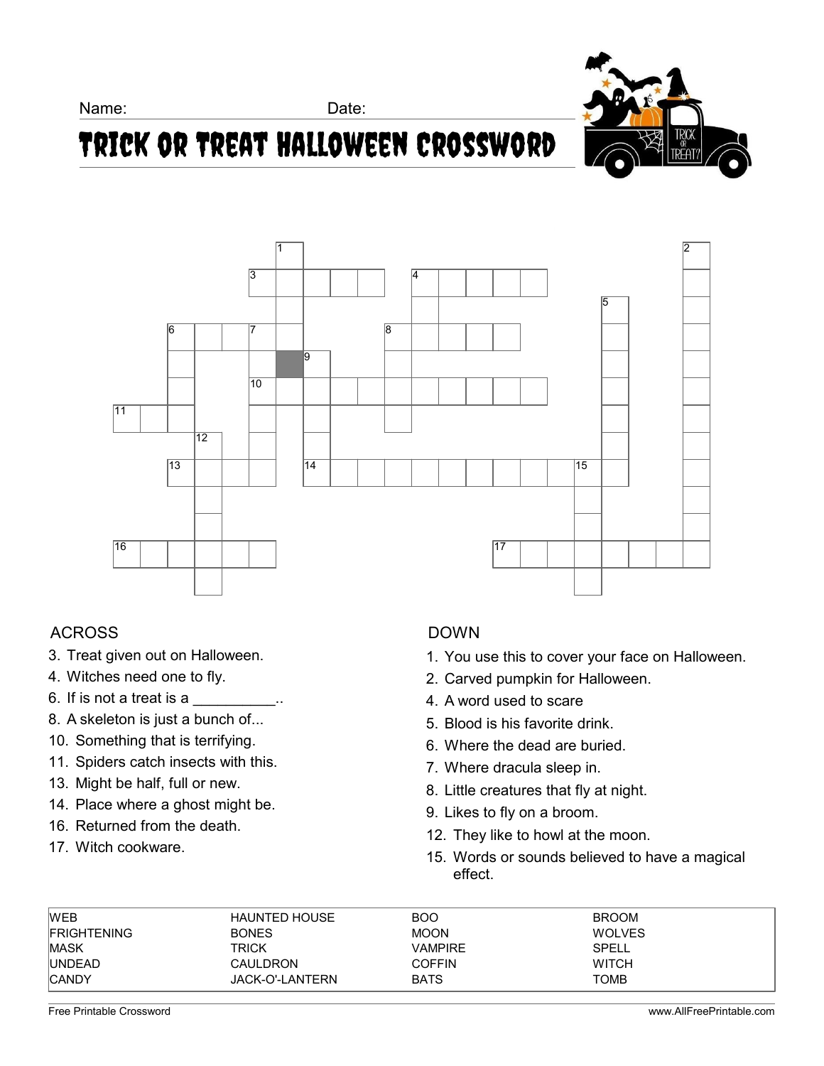Name: Date:



# Trick or Treat Halloween Crossword



### ACROSS

- 3. Treat given out on Halloween.
- 4. Witches need one to fly.
- 6. If is not a treat is a  $\frac{1}{\sqrt{1-\frac{1}{n}}}\cdots$
- 8. A skeleton is just a bunch of...
- 10. Something that is terrifying.
- 11. Spiders catch insects with this.
- 13. Might be half, full or new.
- 14. Place where a ghost might be.
- 16. Returned from the death.
- 17. Witch cookware.

### DOWN

- 1. You use this to cover your face on Halloween.
- 2. Carved pumpkin for Halloween.
- 4. A word used to scare
- 5. Blood is his favorite drink.
- 6. Where the dead are buried.
- 7. Where dracula sleep in.
- 8. Little creatures that fly at night.
- 9. Likes to fly on a broom.
- 12. They like to howl at the moon.
- 15. Words or sounds believed to have a magical effect.

| <b>WEB</b>         | <b>HAUNTED HOUSE</b> | <b>BOO</b>    | <b>BROOM</b>  |
|--------------------|----------------------|---------------|---------------|
| <b>FRIGHTENING</b> | <b>BONES</b>         | <b>MOON</b>   | <b>WOLVES</b> |
| <b>MASK</b>        | TRICK                | VAMPIRE       | SPELL         |
| <b>UNDEAD</b>      | <b>CAULDRON</b>      | <b>COFFIN</b> | <b>WITCH</b>  |
| <b>CANDY</b>       | JACK-O'-LANTERN      | <b>BATS</b>   | <b>TOMB</b>   |